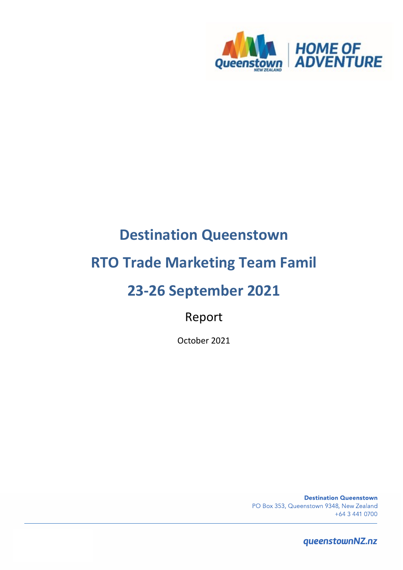

# **Destination Queenstown**

# **RTO Trade Marketing Team Famil**

# **23-26 September 2021**

Report

October 2021

**Destination Queenstown** PO Box 353, Queenstown 9348, New Zealand +64 3 441 0700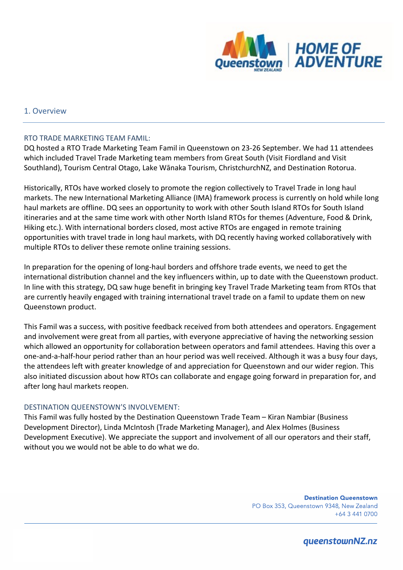

#### 1. Overview

#### RTO TRADE MARKETING TEAM FAMIL:

DQ hosted a RTO Trade Marketing Team Famil in Queenstown on 23-26 September. We had 11 attendees which included Travel Trade Marketing team members from Great South (Visit Fiordland and Visit Southland), Tourism Central Otago, Lake Wānaka Tourism, ChristchurchNZ, and Destination Rotorua.

Historically, RTOs have worked closely to promote the region collectively to Travel Trade in long haul markets. The new International Marketing Alliance (IMA) framework process is currently on hold while long haul markets are offline. DQ sees an opportunity to work with other South Island RTOs for South Island itineraries and at the same time work with other North Island RTOs for themes (Adventure, Food & Drink, Hiking etc.). With international borders closed, most active RTOs are engaged in remote training opportunities with travel trade in long haul markets, with DQ recently having worked collaboratively with multiple RTOs to deliver these remote online training sessions.

In preparation for the opening of long-haul borders and offshore trade events, we need to get the international distribution channel and the key influencers within, up to date with the Queenstown product. In line with this strategy, DQ saw huge benefit in bringing key Travel Trade Marketing team from RTOs that are currently heavily engaged with training international travel trade on a famil to update them on new Queenstown product.

This Famil was a success, with positive feedback received from both attendees and operators. Engagement and involvement were great from all parties, with everyone appreciative of having the networking session which allowed an opportunity for collaboration between operators and famil attendees. Having this over a one-and-a-half-hour period rather than an hour period was well received. Although it was a busy four days, the attendees left with greater knowledge of and appreciation for Queenstown and our wider region. This also initiated discussion about how RTOs can collaborate and engage going forward in preparation for, and after long haul markets reopen.

#### DESTINATION QUEENSTOWN'S INVOLVEMENT:

This Famil was fully hosted by the Destination Queenstown Trade Team – Kiran Nambiar (Business Development Director), Linda McIntosh (Trade Marketing Manager), and Alex Holmes (Business Development Executive). We appreciate the support and involvement of all our operators and their staff, without you we would not be able to do what we do.

> **Destination Queenstown** PO Box 353, Queenstown 9348, New Zealand +64 3 441 0700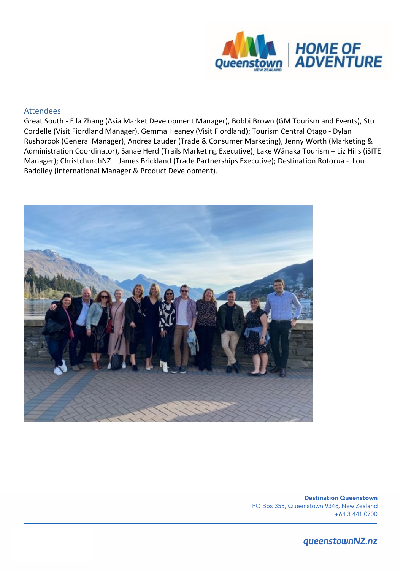

#### Attendees

Great South - Ella Zhang (Asia Market Development Manager), Bobbi Brown (GM Tourism and Events), Stu Cordelle (Visit Fiordland Manager), Gemma Heaney (Visit Fiordland); Tourism Central Otago - Dylan Rushbrook (General Manager), Andrea Lauder (Trade & Consumer Marketing), Jenny Worth (Marketing & Administration Coordinator), Sanae Herd (Trails Marketing Executive); Lake Wānaka Tourism – Liz Hills (iSITE Manager); ChristchurchNZ – James Brickland (Trade Partnerships Executive); Destination Rotorua - Lou Baddiley (International Manager & Product Development).



**Destination Queenstown** PO Box 353, Queenstown 9348, New Zealand +64 3 441 0700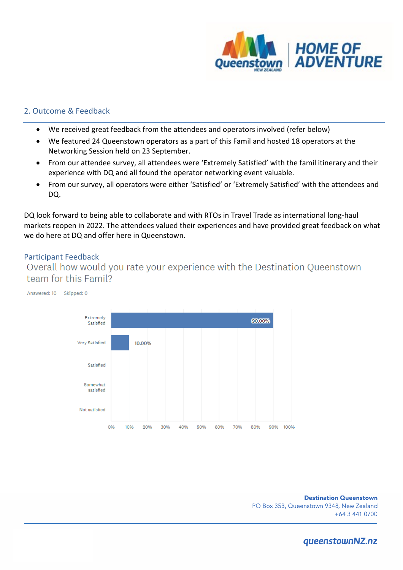

### 2. Outcome & Feedback

- We received great feedback from the attendees and operators involved (refer below)
- We featured 24 Queenstown operators as a part of this Famil and hosted 18 operators at the Networking Session held on 23 September.
- From our attendee survey, all attendees were 'Extremely Satisfied' with the famil itinerary and their experience with DQ and all found the operator networking event valuable.
- From our survey, all operators were either 'Satisfied' or 'Extremely Satisfied' with the attendees and DQ.

DQ look forward to being able to collaborate and with RTOs in Travel Trade as international long-haul markets reopen in 2022. The attendees valued their experiences and have provided great feedback on what we do here at DQ and offer here in Queenstown.

Participant Feedback<br>Overall how would you rate your experience with the Destination Queenstown team for this Famil?



**Destination Queenstown** PO Box 353, Queenstown 9348, New Zealand +64 3 441 0700